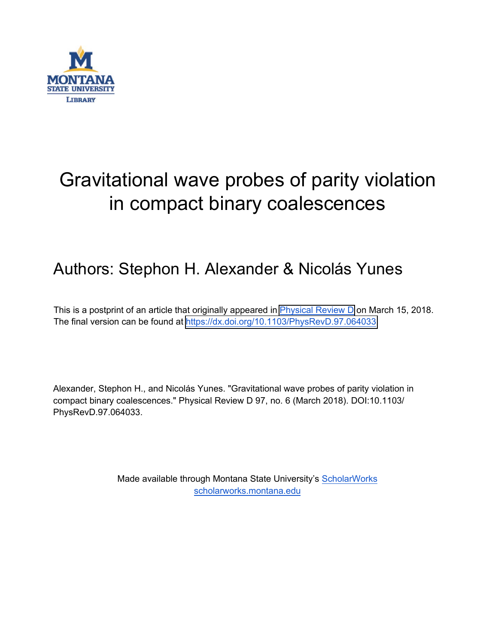

# Gravitational wave probes of parity violation in compact binary coalescences

## Authors: Stephon H. Alexander & Nicolás Yunes

This is a postprint of an article that originally appeared in [Physical Review D](https://journals.aps.org/prd/) on March 15, 2018. The final version can be found at [https://dx.doi.org/10.1103/PhysRevD.97.064033.](https://dx.doi.org/10.1103/PhysRevD.97.064033)

Alexander, Stephon H., and Nicolás Yunes. "Gravitational wave probes of parity violation in compact binary coalescences." Physical Review D 97, no. 6 (March 2018). DOI:10.1103/ PhysRevD.97.064033.

> Made available through Montana State University's [ScholarWorks](http://scholarworks.montana.edu/) [scholarworks.montana.edu](http://scholarworks.montana.edu/)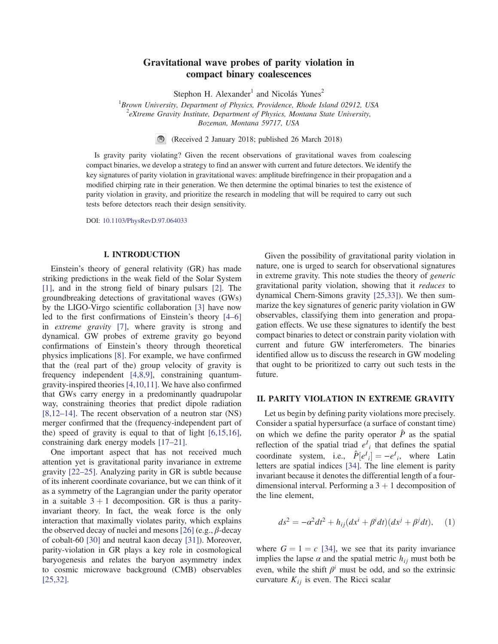### Gravitational wave probes of parity violation in compact binary coalescences

Stephon H. Alexander<sup>1</sup> and Nicolás Yunes<sup>2</sup>

<sup>1</sup>Brown University, Department of Physics, Providence, Rhode Island 02912, USA  $^{2}$ eXtreme Gravity Institute, Department of Physics, Montana State University,

Bozeman, Montana 59717, USA

(Received 2 January 2018; published 26 March 2018)

Is gravity parity violating? Given the recent observations of gravitational waves from coalescing compact binaries, we develop a strategy to find an answer with current and future detectors. We identify the key signatures of parity violation in gravitational waves: amplitude birefringence in their propagation and a modified chirping rate in their generation. We then determine the optimal binaries to test the existence of parity violation in gravity, and prioritize the research in modeling that will be required to carry out such tests before detectors reach their design sensitivity.

DOI: [10.1103/PhysRevD.97.064033](https://doi.org/10.1103/PhysRevD.97.064033)

#### I. INTRODUCTION

Einstein's theory of general relativity (GR) has made striking predictions in the weak field of the Solar System [\[1\]](#page-5-0), and in the strong field of binary pulsars [\[2\].](#page-5-1) The groundbreaking detections of gravitational waves (GWs) by the LIGO-Virgo scientific collaboration [\[3\]](#page-5-2) have now led to the first confirmations of Einstein's theory [4–[6\]](#page-5-3) in extreme gravity [\[7\],](#page-5-4) where gravity is strong and dynamical. GW probes of extreme gravity go beyond confirmations of Einstein's theory through theoretical physics implications [\[8\].](#page-5-5) For example, we have confirmed that the (real part of the) group velocity of gravity is frequency independent [\[4,8,9\],](#page-5-3) constraining quantumgravity-inspired theories [\[4,10,11\]](#page-5-3). We have also confirmed that GWs carry energy in a predominantly quadrupolar way, constraining theories that predict dipole radiation [\[8,12](#page-5-5)–14]. The recent observation of a neutron star (NS) merger confirmed that the (frequency-independent part of the) speed of gravity is equal to that of light [\[6,15,16\]](#page-5-6), constraining dark energy models [17–[21\].](#page-5-7)

One important aspect that has not received much attention yet is gravitational parity invariance in extreme gravity [\[22](#page-5-8)–25]. Analyzing parity in GR is subtle because of its inherent coordinate covariance, but we can think of it as a symmetry of the Lagrangian under the parity operator in a suitable  $3 + 1$  decomposition. GR is thus a parityinvariant theory. In fact, the weak force is the only interaction that maximally violates parity, which explains the observed decay of nuclei and mesons  $[26]$  (e.g.,  $\beta$ -decay of cobalt-60 [\[30\]](#page-6-1) and neutral kaon decay [\[31\]\)](#page-6-2). Moreover, parity-violation in GR plays a key role in cosmological baryogenesis and relates the baryon asymmetry index to cosmic microwave background (CMB) observables [\[25,32\]](#page-6-3).

Given the possibility of gravitational parity violation in nature, one is urged to search for observational signatures in extreme gravity. This note studies the theory of generic gravitational parity violation, showing that it reduces to dynamical Chern-Simons gravity [\[25,33\]\)](#page-6-3). We then summarize the key signatures of generic parity violation in GW observables, classifying them into generation and propagation effects. We use these signatures to identify the best compact binaries to detect or constrain parity violation with current and future GW interferometers. The binaries identified allow us to discuss the research in GW modeling that ought to be prioritized to carry out such tests in the future.

#### II. PARITY VIOLATION IN EXTREME GRAVITY

Let us begin by defining parity violations more precisely. Consider a spatial hypersurface (a surface of constant time) on which we define the parity operator  $\hat{P}$  as the spatial reflection of the spatial triad  $e^{I}$ <sub>i</sub> that defines the spatial coordinate system, i.e.,  $\hat{P}[e^{I}{}_{i}] = -e^{I}{}_{i}$ , where Latin letters are spatial indices [\[34\]](#page-6-4). The line element is parity invariant because it denotes the differential length of a fourdimensional interval. Performing a  $3 + 1$  decomposition of the line element,

$$
ds^{2} = -\alpha^{2}dt^{2} + h_{ij}(dx^{i} + \beta^{i}dt)(dx^{j} + \beta^{j}dt), \quad (1)
$$

where  $G = 1 = c$  [\[34\],](#page-6-4) we see that its parity invariance implies the lapse  $\alpha$  and the spatial metric  $h_{ij}$  must both be even, while the shift  $\beta^i$  must be odd, and so the extrinsic curvature  $K_{ij}$  is even. The Ricci scalar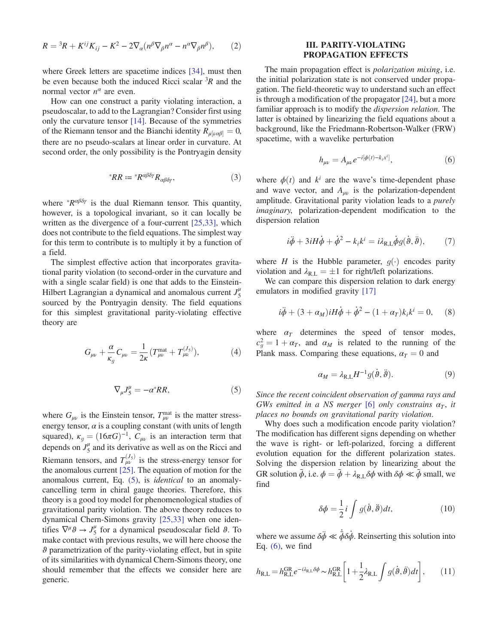$$
R = {}^{3}R + K^{ij}K_{ij} - K^{2} - 2\nabla_{\alpha}(n^{\beta}\nabla_{\beta}n^{\alpha} - n^{\alpha}\nabla_{\beta}n^{\beta}),
$$
 (2)

where Greek letters are spacetime indices [\[34\]](#page-6-4), must then be even because both the induced Ricci scalar  ${}^{3}R$  and the normal vector  $n^{\alpha}$  are even.

How can one construct a parity violating interaction, a pseudoscalar, to add to the Lagrangian? Consider first using only the curvature tensor [\[14\].](#page-5-9) Because of the symmetries of the Riemann tensor and the Bianchi identity  $R_{\mu[\nu\alpha\beta]} = 0$ , there are no pseudo-scalars at linear order in curvature. At second order, the only possibility is the Pontryagin density

$$
{}^*RR := {}^*R^{\alpha\beta\delta\gamma}R_{\alpha\beta\delta\gamma},\qquad(3)
$$

where  ${}^{\ast}R^{\alpha\beta\delta\gamma}$  is the dual Riemann tensor. This quantity, however, is a topological invariant, so it can locally be written as the divergence of a four-current [\[25,33\]](#page-6-3), which does not contribute to the field equations. The simplest way for this term to contribute is to multiply it by a function of a field.

The simplest effective action that incorporates gravitational parity violation (to second-order in the curvature and with a single scalar field) is one that adds to the Einstein-Hilbert Lagrangian a dynamical and anomalous current  $J_5^{\mu}$ sourced by the Pontryagin density. The field equations for this simplest gravitational parity-violating effective theory are

<span id="page-2-0"></span>
$$
G_{\mu\nu} + \frac{\alpha}{\kappa_g} C_{\mu\nu} = \frac{1}{2\kappa} (T_{\mu\nu}^{\text{mat}} + T_{\mu\nu}^{(J_5)}), \tag{4}
$$

$$
\nabla_{\mu}J^{\mu}_{5} = -\alpha^{*}RR,\tag{5}
$$

where  $G_{\mu\nu}$  is the Einstein tensor,  $T_{\mu\nu}^{\text{mat}}$  is the matter stressenergy tensor,  $\alpha$  is a coupling constant (with units of length squared),  $\kappa_g = (16\pi G)^{-1}$ ,  $C_{\mu\nu}$  is an interaction term that depends on  $J_5^{\mu}$  and its derivative as well as on the Ricci and Riemann tensors, and  $T_{\mu\nu}^{(J_5)}$  is the stress-energy tensor for the anomalous current [\[25\]](#page-6-3). The equation of motion for the anomalous current, Eq. [\(5\),](#page-2-0) is identical to an anomalycancelling term in chiral gauge theories. Therefore, this theory is a good toy model for phenomenological studies of gravitational parity violation. The above theory reduces to dynamical Chern-Simons gravity [\[25,33\]](#page-6-3) when one identifies  $\nabla^{\mu} \vartheta \to J_5^{\mu}$  for a dynamical pseudoscalar field  $\vartheta$ . To make contact with previous results, we will here choose the ϑ parametrization of the parity-violating effect, but in spite of its similarities with dynamical Chern-Simons theory, one should remember that the effects we consider here are generic.

#### III. PARITY-VIOLATING PROPAGATION EFFECTS

The main propagation effect is *polarization mixing*, i.e. the initial polarization state is not conserved under propagation. The field-theoretic way to understand such an effect is through a modification of the propagator [\[24\]](#page-5-10), but a more familiar approach is to modify the dispersion relation. The latter is obtained by linearizing the field equations about a background, like the Friedmann-Robertson-Walker (FRW) spacetime, with a wavelike perturbation

$$
h_{\mu\nu} = A_{\mu\nu} e^{-i[\phi(t) - k_i x^i]}, \tag{6}
$$

<span id="page-2-1"></span>where  $\phi(t)$  and  $k^i$  are the wave's time-dependent phase and wave vector, and  $A_{\mu\nu}$  is the polarization-dependent amplitude. Gravitational parity violation leads to a purely imaginary, polarization-dependent modification to the dispersion relation

$$
i\ddot{\phi} + 3iH\dot{\phi} + \dot{\phi}^2 - k_i k^i = i\lambda_{\text{R},\text{L}}\dot{\phi}g(\dot{\theta},\ddot{\theta}), \qquad (7)
$$

where H is the Hubble parameter,  $q(\cdot)$  encodes parity violation and  $\lambda_{\text{R,L}} = \pm 1$  for right/left polarizations.

We can compare this dispersion relation to dark energy emulators in modified gravity [\[17\]](#page-5-7)

$$
i\ddot{\phi} + (3 + \alpha_M)iH\dot{\phi} + \dot{\phi}^2 - (1 + \alpha_T)k_ik^i = 0, \quad (8)
$$

where  $\alpha_T$  determines the speed of tensor modes,  $c_g^2 = 1 + \alpha_T$ , and  $\alpha_M$  is related to the running of the Plank mass. Comparing these equations,  $\alpha_T = 0$  and

$$
\alpha_M = \lambda_{\text{R},\text{L}} H^{-1} g(\dot{\theta}, \ddot{\theta}). \tag{9}
$$

Since the recent coincident observation of gamma rays and GWs emitted in a NS merger [\[6\]](#page-5-6) only constrains  $\alpha_T$ , it places no bounds on gravitational parity violation.

Why does such a modification encode parity violation? The modification has different signs depending on whether the wave is right- or left-polarized, forcing a different evolution equation for the different polarization states. Solving the dispersion relation by linearizing about the GR solution  $\bar{\phi}$ , i.e.  $\phi = \bar{\phi} + \lambda_{R,L} \delta \phi$  with  $\delta \phi \ll \bar{\phi}$  small, we find

$$
\delta \phi = \frac{1}{2} i \int g(\dot{\theta}, \ddot{\theta}) dt, \qquad (10)
$$

where we assume  $\delta \dot{\phi} \ll \dot{\bar{\phi}} \delta \dot{\phi}$ . Reinserting this solution into Eq. [\(6\),](#page-2-1) we find

$$
h_{\text{R},\text{L}} = h_{\text{R},\text{L}}^{\text{GR}} e^{-i\lambda_{\text{R},\text{L}} \delta \phi} \sim h_{\text{R},\text{L}}^{\text{GR}} \left[ 1 + \frac{1}{2} \lambda_{\text{R},\text{L}} \int g(\dot{\theta}, \ddot{\theta}) dt \right],\tag{11}
$$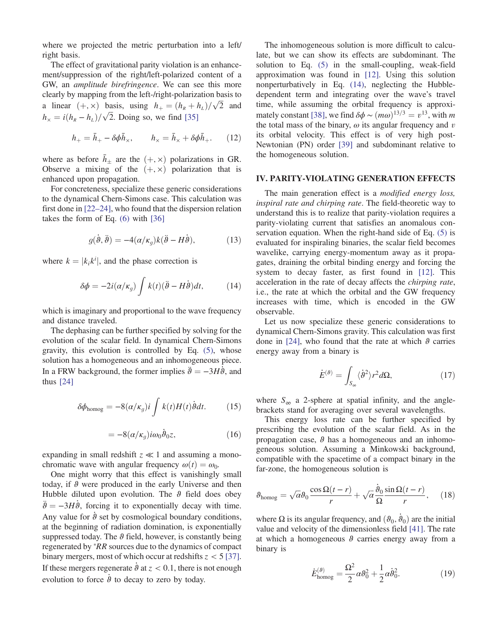where we projected the metric perturbation into a left/ right basis.

The effect of gravitational parity violation is an enhancement/suppression of the right/left-polarized content of a GW, an amplitude birefringence. We can see this more clearly by mapping from the left-/right-polarization basis to a linear  $(+, \times)$  basis, using  $h_+ = (h_R + h_L)/\sqrt{2}$  and  $h_{\times} = i(h_{\rm R} - h_{\rm L})/\sqrt{2}$ . Doing so, we find [\[35\]](#page-6-5)

$$
h_{+} = \bar{h}_{+} - \delta\phi\bar{h}_{\times}, \qquad h_{\times} = \bar{h}_{\times} + \delta\phi\bar{h}_{+}.
$$
 (12)

where as before  $\bar{h}_{\pm}$  are the  $(+, \times)$  polarizations in GR. Observe a mixing of the  $(+, \times)$  polarization that is enhanced upon propagation.

For concreteness, specialize these generic considerations to the dynamical Chern-Simons case. This calculation was first done in [\[22](#page-5-8)–24], who found that the dispersion relation takes the form of Eq. [\(6\)](#page-2-1) with [\[36\]](#page-6-6)

$$
g(\dot{\theta}, \ddot{\theta}) = -4(\alpha/\kappa_g)k(\ddot{\theta} - H\dot{\theta}), \qquad (13)
$$

<span id="page-3-0"></span>where  $k = |k_i k^i|$ , and the phase correction is

$$
\delta \phi = -2i(\alpha/\kappa_g) \int k(t) (\ddot{\theta} - H\dot{\theta}) dt, \qquad (14)
$$

which is imaginary and proportional to the wave frequency and distance traveled.

<span id="page-3-1"></span>The dephasing can be further specified by solving for the evolution of the scalar field. In dynamical Chern-Simons gravity, this evolution is controlled by Eq. [\(5\)](#page-2-0), whose solution has a homogeneous and an inhomogeneous piece. In a FRW background, the former implies  $\ddot{\theta} = -3H\dot{\theta}$ , and thus [\[24\]](#page-5-10)

<span id="page-3-2"></span>
$$
\delta\phi_{\text{homog}} = -8(\alpha/\kappa_g)i \int k(t)H(t)\dot{\theta}dt. \tag{15}
$$

$$
= -8(\alpha/\kappa_g)i\omega_0\dot{\vartheta}_0 z, \qquad (16)
$$

expanding in small redshift  $z \ll 1$  and assuming a monochromatic wave with angular frequency  $\omega(t) = \omega_0$ .

One might worry that this effect is vanishingly small today, if  $\vartheta$  were produced in the early Universe and then Hubble diluted upon evolution. The  $\theta$  field does obey  $\ddot{\theta} = -3H\dot{\theta}$ , forcing it to exponentially decay with time. Any value for  $\dot{\theta}$  set by cosmological boundary conditions, at the beginning of radiation domination, is exponentially suppressed today. The  $\vartheta$  field, however, is constantly being regenerated by *\*RR* sources due to the dynamics of compact binary mergers, most of which occur at redshifts  $z < 5$  [\[37\]](#page-6-7). If these mergers regenerate  $\dot{\theta}$  at  $z < 0.1$ , there is not enough evolution to force  $\dot{\theta}$  to decay to zero by today.

The inhomogeneous solution is more difficult to calculate, but we can show its effects are subdominant. The solution to Eq. [\(5\)](#page-2-0) in the small-coupling, weak-field approximation was found in [\[12\].](#page-5-11) Using this solution nonperturbatively in Eq. [\(14\),](#page-3-0) neglecting the Hubbledependent term and integrating over the wave's travel time, while assuming the orbital frequency is approxi-mately constant [\[38\],](#page-6-8) we find  $\delta\phi \sim (m\omega)^{13/3} = v^{13}$ , with m the total mass of the binary,  $\omega$  its angular frequency and  $v$ its orbital velocity. This effect is of very high post-Newtonian (PN) order [\[39\]](#page-6-9) and subdominant relative to the homogeneous solution.

#### IV. PARITY-VIOLATING GENERATION EFFECTS

The main generation effect is a *modified energy loss*, inspiral rate and chirping rate. The field-theoretic way to understand this is to realize that parity-violation requires a parity-violating current that satisfies an anomalous conservation equation. When the right-hand side of Eq. [\(5\)](#page-2-0) is evaluated for inspiraling binaries, the scalar field becomes wavelike, carrying energy-momentum away as it propagates, draining the orbital binding energy and forcing the system to decay faster, as first found in [\[12\].](#page-5-11) This acceleration in the rate of decay affects the chirping rate, i.e., the rate at which the orbital and the GW frequency increases with time, which is encoded in the GW observable.

Let us now specialize these generic considerations to dynamical Chern-Simons gravity. This calculation was first done in [\[24\],](#page-5-10) who found that the rate at which  $\theta$  carries energy away from a binary is

$$
\dot{E}^{(\vartheta)} = \int_{S_{\infty}} \langle \dot{\vartheta}^2 \rangle r^2 d\Omega, \tag{17}
$$

where  $S_{\infty}$  a 2-sphere at spatial infinity, and the anglebrackets stand for averaging over several wavelengths.

This energy loss rate can be further specified by prescribing the evolution of the scalar field. As in the propagation case,  $\vartheta$  has a homogeneous and an inhomogeneous solution. Assuming a Minkowski background, compatible with the spacetime of a compact binary in the far-zone, the homogeneous solution is

$$
\theta_{\text{homog}} = \sqrt{\alpha} \theta_0 \frac{\cos \Omega (t - r)}{r} + \sqrt{\alpha} \frac{\dot{\theta}_0}{\Omega} \frac{\sin \Omega (t - r)}{r}, \quad (18)
$$

where Ω is its angular frequency, and  $(\vartheta_0, \vartheta_0)$  are the initial value and velocity of the dimensionless field [\[41\]](#page-6-10). The rate at which a homogeneous  $\theta$  carries energy away from a binary is

$$
\dot{E}_{\text{homog}}^{(\vartheta)} = \frac{\Omega^2}{2} \alpha \vartheta_0^2 + \frac{1}{2} \alpha \dot{\vartheta}_0^2. \tag{19}
$$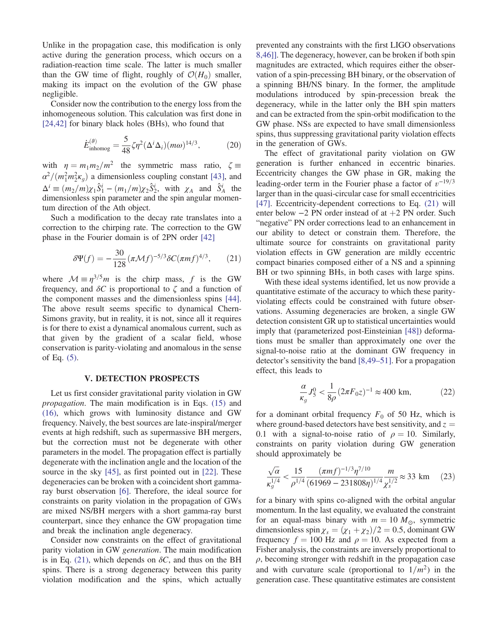Unlike in the propagation case, this modification is only active during the generation process, which occurs on a radiation-reaction time scale. The latter is much smaller than the GW time of flight, roughly of  $\mathcal{O}(H_0)$  smaller, making its impact on the evolution of the GW phase negligible.

Consider now the contribution to the energy loss from the inhomogeneous solution. This calculation was first done in [\[24,42\]](#page-5-10) for binary black holes (BHs), who found that

$$
\dot{E}_{\text{inhomog}}^{(\vartheta)} = \frac{5}{48} \zeta \eta^2 (\Delta^i \Delta_i) (m\omega)^{14/3},\tag{20}
$$

with  $\eta = m_1 m_2 / m^2$  the symmetric mass ratio,  $\zeta =$  $\alpha^2/(m_1^2 m_2^2 \kappa_g)$  a dimensionless coupling constant [\[43\],](#page-6-11) and  $\Delta^i \equiv (m_2/m)\chi_1 \hat{S}_1^i - (m_1/m)\chi_2 \hat{S}_2^i$ , with  $\chi_A$  and  $\hat{S}_A^i$  the dimensionless spin parameter and the spin angular momentum direction of the Ath object.

<span id="page-4-0"></span>Such a modification to the decay rate translates into a correction to the chirping rate. The correction to the GW phase in the Fourier domain is of 2PN order [\[42\]](#page-6-12)

$$
\delta \Psi(f) = -\frac{30}{128} (\pi \mathcal{M}f)^{-5/3} \delta C (\pi m f)^{4/3}, \qquad (21)
$$

where  $\mathcal{M} \equiv \eta^{3/5}m$  is the chirp mass, f is the GW frequency, and  $\delta C$  is proportional to  $\zeta$  and a function of the component masses and the dimensionless spins [\[44\]](#page-6-13). The above result seems specific to dynamical Chern-Simons gravity, but in reality, it is not, since all it requires is for there to exist a dynamical anomalous current, such as that given by the gradient of a scalar field, whose conservation is parity-violating and anomalous in the sense of Eq. [\(5\)](#page-2-0).

#### V. DETECTION PROSPECTS

Let us first consider gravitational parity violation in GW propagation. The main modification is in Eqs. [\(15\)](#page-3-1) and [\(16\)](#page-3-2), which grows with luminosity distance and GW frequency. Naively, the best sources are late-inspiral/merger events at high redshift, such as supermassive BH mergers, but the correction must not be degenerate with other parameters in the model. The propagation effect is partially degenerate with the inclination angle and the location of the source in the sky [\[45\]](#page-6-14), as first pointed out in [\[22\].](#page-5-8) These degeneracies can be broken with a coincident short gammaray burst observation [\[6\].](#page-5-6) Therefore, the ideal source for constraints on parity violation in the propagation of GWs are mixed NS/BH mergers with a short gamma-ray burst counterpart, since they enhance the GW propagation time and break the inclination angle degeneracy.

Consider now constraints on the effect of gravitational parity violation in GW generation. The main modification is in Eq. [\(21\),](#page-4-0) which depends on  $\delta C$ , and thus on the BH spins. There is a strong degeneracy between this parity violation modification and the spins, which actually prevented any constraints with the first LIGO observations 8,46]. The degeneracy, however, can be broken if both spin magnitudes are extracted, which requires either the observation of a spin-precessing BH binary, or the observation of a spinning BH/NS binary. In the former, the amplitude modulations introduced by spin-precession break the degeneracy, while in the latter only the BH spin matters and can be extracted from the spin-orbit modification to the GW phase. NSs are expected to have small dimensionless spins, thus suppressing gravitational parity violation effects in the generation of GWs.

The effect of gravitational parity violation on GW generation is further enhanced in eccentric binaries. Eccentricity changes the GW phase in GR, making the leading-order term in the Fourier phase a factor of  $v^{-19/3}$ larger than in the quasi-circular case for small eccentricities [\[47\]](#page-6-15). Eccentricity-dependent corrections to Eq. [\(21\)](#page-4-0) will enter below  $-2$  PN order instead of at  $+2$  PN order. Such "negative" PN order corrections lead to an enhancement in our ability to detect or constrain them. Therefore, the ultimate source for constraints on gravitational parity violation effects in GW generation are mildly eccentric compact binaries composed either of a NS and a spinning BH or two spinning BHs, in both cases with large spins.

With these ideal systems identified, let us now provide a quantitative estimate of the accuracy to which these parityviolating effects could be constrained with future observations. Assuming degeneracies are broken, a single GW detection consistent GR up to statistical uncertainties would imply that (parameterized post-Einsteinian [\[48\]](#page-6-16)) deformations must be smaller than approximately one over the signal-to-noise ratio at the dominant GW frequency in detector's sensitivity the band [\[8,49](#page-5-5)–51]. For a propagation effect, this leads to

$$
\frac{\alpha}{\kappa_g} J_5^0 < \frac{1}{8\rho} (2\pi F_0 z)^{-1} \approx 400 \text{ km},\tag{22}
$$

for a dominant orbital frequency  $F_0$  of 50 Hz, which is where ground-based detectors have best sensitivity, and  $z =$ 0.1 with a signal-to-noise ratio of  $\rho = 10$ . Similarly, constraints on parity violation during GW generation should approximately be

$$
\frac{\sqrt{\alpha}}{\kappa_g^{1/4}} < \frac{15}{\rho^{1/4}} \frac{(\pi m f)^{-1/3} \eta^{7/10}}{(61969 - 231808\eta)^{1/4} \chi_s^{1/2}} \approx 33 \text{ km} \tag{23}
$$

for a binary with spins co-aligned with the orbital angular momentum. In the last equality, we evaluated the constraint for an equal-mass binary with  $m = 10 M_{\odot}$ , symmetric dimensionless spin  $\chi_s = (\chi_1 + \chi_2)/2 = 0.5$ , dominant GW frequency  $f = 100$  Hz and  $\rho = 10$ . As expected from a Fisher analysis, the constraints are inversely proportional to  $\rho$ , becoming stronger with redshift in the propagation case and with curvature scale (proportional to  $1/m^2$ ) in the generation case. These quantitative estimates are consistent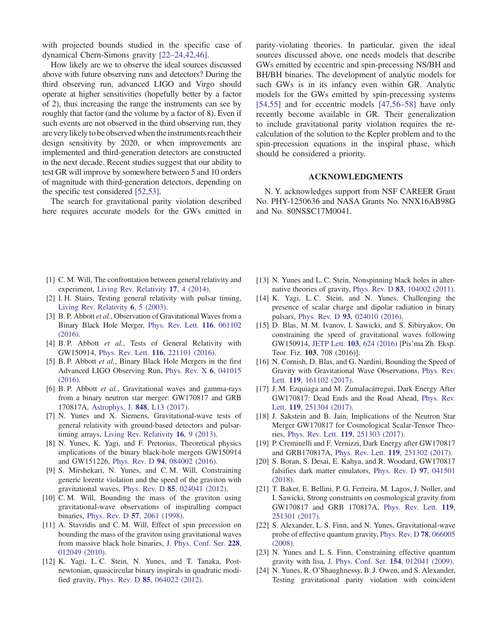with projected bounds studied in the specific case of dynamical Chern-Simons gravity [22–[24,42,46\].](#page-5-8)

How likely are we to observe the ideal sources discussed above with future observing runs and detectors? During the third observing run, advanced LIGO and Virgo should operate at higher sensitivities (hopefully better by a factor of 2), thus increasing the range the instruments can see by roughly that factor (and the volume by a factor of 8). Even if such events are not observed in the third observing run, they are very likely to be observed when the instruments reach their design sensitivity by 2020, or when improvements are implemented and third-generation detectors are constructed in the next decade. Recent studies suggest that our ability to test GR will improve by somewhere between 5 and 10 orders of magnitude with third-generation detectors, depending on the specific test considered [\[52,53\].](#page-6-17)

The search for gravitational parity violation described here requires accurate models for the GWs emitted in parity-violating theories. In particular, given the ideal sources discussed above, one needs models that describe GWs emitted by eccentric and spin-precessing NS/BH and BH/BH binaries. The development of analytic models for such GWs is in its infancy even within GR. Analytic models for the GWs emitted by spin-precessing systems [\[54,55\]](#page-6-18) and for eccentric models [\[47,56](#page-6-15)–58] have only recently become available in GR. Their generalization to include gravitational parity violation requires the recalculation of the solution to the Kepler problem and to the spin-precession equations in the inspiral phase, which should be considered a priority.

#### ACKNOWLEDGMENTS

N. Y. acknowledges support from NSF CAREER Grant No. PHY-1250636 and NASA Grants No. NNX16AB98G and No. 80NSSC17M0041.

- <span id="page-5-0"></span>[1] C. M. Will, The confrontation between general relativity and experiment, [Living Rev. Relativity](https://doi.org/10.12942/lrr-2014-4) 17, 4 (2014).
- <span id="page-5-1"></span>[2] I. H. Stairs, Testing general relativity with pulsar timing, [Living Rev. Relativity](https://doi.org/10.12942/lrr-2003-5) 6, 5 (2003).
- <span id="page-5-2"></span>[3] B. P. Abbott et al., Observation of Gravitational Waves from a Binary Black Hole Merger, [Phys. Rev. Lett.](https://doi.org/10.1103/PhysRevLett.116.061102) 116, 061102 [\(2016\)](https://doi.org/10.1103/PhysRevLett.116.061102).
- <span id="page-5-3"></span>[4] B. P. Abbott et al., Tests of General Relativity with GW150914, Phys. Rev. Lett. 116[, 221101 \(2016\).](https://doi.org/10.1103/PhysRevLett.116.221101)
- [5] B. P. Abbott et al., Binary Black Hole Mergers in the first Advanced LIGO Observing Run, [Phys. Rev. X](https://doi.org/10.1103/PhysRevX.6.041015) 6, 041015 [\(2016\).](https://doi.org/10.1103/PhysRevX.6.041015)
- <span id="page-5-6"></span>[6] B. P. Abbott et al., Gravitational waves and gamma-rays from a binary neutron star merger: GW170817 and GRB 170817A, [Astrophys. J.](https://doi.org/10.3847/2041-8213/aa920c) 848, L13 (2017).
- <span id="page-5-4"></span>[7] N. Yunes and X. Siemens, Gravitational-wave tests of general relativity with ground-based detectors and pulsartiming arrays, [Living Rev. Relativity](https://doi.org/10.12942/lrr-2013-9) 16, 9 (2013).
- <span id="page-5-5"></span>[8] N. Yunes, K. Yagi, and F. Pretorius, Theoretical physics implications of the binary black-hole mergers GW150914 and GW151226, Phys. Rev. D 94[, 084002 \(2016\)](https://doi.org/10.1103/PhysRevD.94.084002).
- [9] S. Mirshekari, N. Yunes, and C. M. Will, Constraining generic lorentz violation and the speed of the graviton with gravitational waves, Phys. Rev. D 85[, 024041 \(2012\)](https://doi.org/10.1103/PhysRevD.85.024041).
- [10] C.M. Will, Bounding the mass of the graviton using gravitational-wave observations of inspiralling compact binaries, Phys. Rev. D 57[, 2061 \(1998\)](https://doi.org/10.1103/PhysRevD.57.2061).
- [11] A. Stavridis and C. M. Will, Effect of spin precession on bounding the mass of the graviton using gravitational waves from massive black hole binaries, [J. Phys. Conf. Ser.](https://doi.org/10.1088/1742-6596/228/1/012049) 228, [012049 \(2010\).](https://doi.org/10.1088/1742-6596/228/1/012049)
- <span id="page-5-11"></span>[12] K. Yagi, L. C. Stein, N. Yunes, and T. Tanaka, Postnewtonian, quasicircular binary inspirals in quadratic modified gravity, Phys. Rev. D 85[, 064022 \(2012\).](https://doi.org/10.1103/PhysRevD.85.064022)
- [13] N. Yunes and L. C. Stein, Nonspinning black holes in alternative theories of gravity, Phys. Rev. D 83[, 104002 \(2011\).](https://doi.org/10.1103/PhysRevD.83.104002)
- <span id="page-5-9"></span>[14] K. Yagi, L. C. Stein, and N. Yunes, Challenging the presence of scalar charge and dipolar radiation in binary pulsars, Phys. Rev. D 93[, 024010 \(2016\).](https://doi.org/10.1103/PhysRevD.93.024010)
- [15] D. Blas, M. M. Ivanov, I. Sawicki, and S. Sibiryakov, On constraining the speed of gravitational waves following GW150914, JETP Lett. 103, 624 [\(2016\)](https://doi.org/10.1134/S0021364016100040) [Pis'ma Zh. Eksp. Teor. Fiz. 103, 708 (2016)].
- [16] N. Cornish, D. Blas, and G. Nardini, Bounding the Speed of Gravity with Gravitational Wave Observations, [Phys. Rev.](https://doi.org/10.1103/PhysRevLett.119.161102) Lett. 119[, 161102 \(2017\)](https://doi.org/10.1103/PhysRevLett.119.161102).
- <span id="page-5-7"></span>[17] J. M. Ezquiaga and M. Zumalacárregui, Dark Energy After GW170817: Dead Ends and the Road Ahead, [Phys. Rev.](https://doi.org/10.1103/PhysRevLett.119.251304) Lett. 119[, 251304 \(2017\)](https://doi.org/10.1103/PhysRevLett.119.251304).
- [18] J. Sakstein and B. Jain, Implications of the Neutron Star Merger GW170817 for Cosmological Scalar-Tensor Theories, Phys. Rev. Lett. 119[, 251303 \(2017\).](https://doi.org/10.1103/PhysRevLett.119.251303)
- [19] P. Creminelli and F. Vernizzi, Dark Energy after GW170817 and GRB170817A, Phys. Rev. Lett. 119[, 251302 \(2017\)](https://doi.org/10.1103/PhysRevLett.119.251302).
- [20] S. Boran, S. Desai, E. Kahya, and R. Woodard, GW170817 falsifies dark matter emulators, [Phys. Rev. D](https://doi.org/10.1103/PhysRevD.97.041501) 97, 041501 [\(2018\).](https://doi.org/10.1103/PhysRevD.97.041501)
- [21] T. Baker, E. Bellini, P. G. Ferreira, M. Lagos, J. Noller, and I. Sawicki, Strong constraints on cosmological gravity from GW170817 and GRB 170817A, [Phys. Rev. Lett.](https://doi.org/10.1103/PhysRevLett.119.251301) 119, [251301 \(2017\).](https://doi.org/10.1103/PhysRevLett.119.251301)
- <span id="page-5-8"></span>[22] S. Alexander, L. S. Finn, and N. Yunes, Gravitational-wave probe of effective quantum gravity, [Phys. Rev. D](https://doi.org/10.1103/PhysRevD.78.066005) 78, 066005 [\(2008\).](https://doi.org/10.1103/PhysRevD.78.066005)
- [23] N. Yunes and L. S. Finn, Constraining effective quantum gravity with lisa, [J. Phys. Conf. Ser.](https://doi.org/10.1088/1742-6596/154/1/012041) 154, 012041 (2009).
- <span id="page-5-10"></span>[24] N. Yunes, R. O'Shaughnessy, B. J. Owen, and S. Alexander, Testing gravitational parity violation with coincident